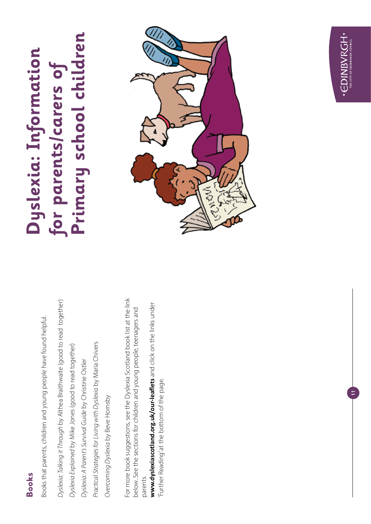#### **Books**

Books that parents, children and young people have found helpful. Books that parents, children and young people have found helpful.

Dyslexia: Talking it Through by Althea Braithwaite (good to read together) *Dyslexia: Talking it Through* by Althea Braithwaite (good to read together) Practical Strategies for Living with Dyslexia by Maria Chivers *Practical Strategies for Living with Dyslexia* by Maria Chivers Dyslexia Explained by Mike Jones (good to read together) *Dyslexia Explained* by Mike Jones (good to read together) *Dyslexia: A Parent's Survival Guide* by Christine Ostler Dyslexia: A Parent's Survival Guide by Christine Ostler Overcoming Dyslexia by Beve Hornsby *Overcoming Dyslexia* by Beve Hornsby

For more book suggestions, see the Dyslexia Scotland book list at the link For more book suggestions, see the Dyslexia Scotland book list at the link below. See the sections for children and young people, teenagers and below. See the sections for children and young people, teenagers and parents.

www.dyslexiascotland.org.uk/our-leaflets and click on the links under **www.dyslexiascotland.org.uk/our-leaflets** and click on the links under Further Reading' at the bottom of the page. 'Further Reading' at the bottom of the page.

#### Primary school children **Primary school children Dyslexia: Information**  Dyslexia: Information **for parents/carers of**  for parents/carers of



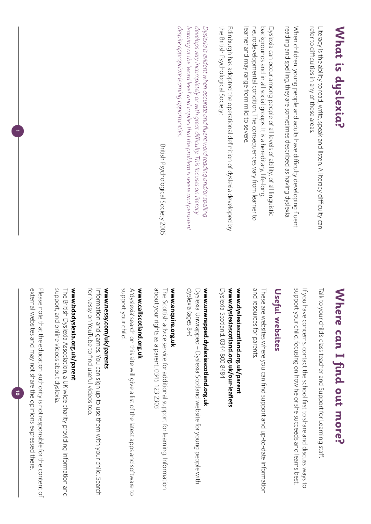# **What is dyslexia?** What is dyslexia?

refer to difficulties in any of these areas Literacy is the ability to read, write, speak and listen. A literacy difficulty can refer to difficulties in any of these areas. Literacy is the ability to read, write, speak and listen. A literacy difficulty can

reading and spelling, they are sometimes described as having dyslexia. When children, young people and adults have difficulty developing fluent When children, young people and adults have difficulty developing fluent reading and spelling, they are sometimes described as having dyslexia.

learner and may range from mild to severe. neurodevelopmental condition. The consequences vary from learner tc backgrounds and in all social groups. It is a hereditary, life-long Dyslexia can occur among people of all levels of ability, of all linguistic learner and may range from mild to severe. neurodevelopmental condition. The consequences vary from learner to backgrounds and in all social groups. It is a hereditary, life-long, Dyslexia can occur among people of all levels of ability, of all linguistic

the British Psychological Society: the British Psychological Society: Edinburgh has adopted the operational definition of dyslexia developed by Edinburgh has adopted the operational definition of dyslexia developed by

despite appropriate learning opportunities *despite appropriate learning opportunities.* learning at the 'word level' and implies that the problem is severe and persistent *learning at the 'word level' and implies that the problem is severe and persistent*  develops very incompletely or with great difficulty. This focuses on literacy *develops very incompletely or with great difficulty. This focuses on literacy*  Dyslexia is evident when accurate and fluent word reading and/or spelling *Dyslexia is evident when accurate and fluent word reading and/or spelling* 

British Psychological Society 2005 British Psychological Society 2005

# Where can I find out more? **Where can I find out more?**

Talk to your child's class teacher and Support for Learning staff Talk to your child's class teacher and Support for Learning staff.

support your child, focusing on how he or she succeeds and learns best. If you have concerns, contact the school first to share and discuss ways to support your child, focusing on how he or she succeeds and learns best. If you have concerns, contact the school first to share and discuss ways to

#### Useful websites **Useful websites**

and resources for parents and resources for parents. These are websites where you can find support and up-to-date information These are websites where you can find support and up-to-date information

#### www.dyslexiascotland.org.uk/our-leaflets www.dyslexiascotland.org.uk/parent **www.dyslexiascotland.org.uk/our-leaflets www.dyslexiascotland.org.uk/parent**

Dyslexia Scotland. 0344 800 8484 Dyslexia Scotland. 0344 800 8484

# www.unwrapped.dyslexiascotland.org.uk **www.unwrapped.dyslexiascotland.org.uk**

dyslexia (ages 8+) Dyslexia Unwrapped – Dyslexia Scotland website for young people with dyslexia (ages 8+) Dyslexia Unwrapped – Dyslexia Scotland website for young people with

#### www.enquire.org.uk **www.enquire.org.uk**

about your rights as a parent. 0345 123 2303 about your rights as a parent. 0345 123 2303 The Scottish advice service for additional support for learning. Information The Scottish advice service for additional support for learning. Information

### www.callscotland.org.uk **www.callscotland.org.uk**

support your child. A dyslexia search on this site will give a list of the latest apps and software to support your child. A 'dyslexia' search on this site will give a list of the latest apps and software to

## www.nessy.com/uk/parents **www.nessy.com/uk/parents**

for Nessy on YouTube to find useful videos too. Information and games. You can sign up to use them with your child. Search for Nessy on YouTube to find useful videos too. Information and games. You can sign up to use them with your child. Search

## www.bdadyslexia.org.uk/parent **www.bdadyslexia.org.uk/parent**

support, and online videos about dyslexia support, and online videos about dyslexia. The British Dyslexia Association, a UK wide charity providing information and The British Dyslexia Association, a UK wide charity providing information and

external websites and may not share the opinions expressed there. Please note that the education authority is not responsible for the content of external websites and may not share the opinions expressed there. Please note that the education authority is not responsible for the content of

 $\vec{0}$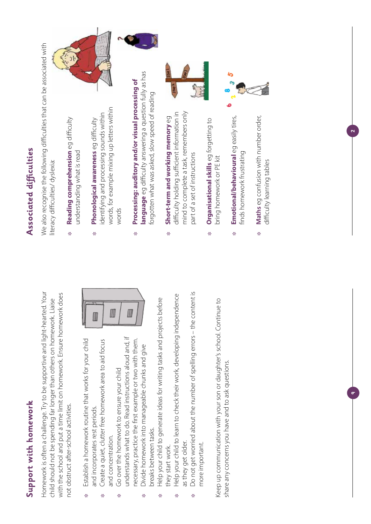## Support with homework **Support with homework**

Homework is often a challenge. Try to be supportive and light-hearted. Your Homework is often a challenge. Try to be supportive and light-hearted. Your with the school and put a time limit on homework. Ensure homework does with the school and put a time limit on homework. Ensure homework does child should not be spending far longer than others on homework. Liaise child should not be spending far longer than others on homework. Liaise not obstruct after-school activities. not obstruct after-school activities.

- Establish a homework routine that works for your child Establish a homework routine that works for your child and incorporates rest periods. and incorporates rest periods. ❉
	- Create a quiet, clutter free homework area to aid focus Create a quiet, clutter free homework area to aid focus and concentration. and concentration. ❉

III

Ⅲ

- understands what to do. Read instructions aloud and, if understands what to do. Read instructions aloud and, if necessary, practice the first example or two with them. necessary, practice the first example or two with them. Go over the homework to ensure your child Go over the homework to ensure your child ❉
	- Divide homework into manageable chunks and give Divide homework into manageable chunks and give breaks between tasks. breaks between tasks. ❉
- Help your child to generate ideas for writing tasks and projects before Help your child to generate ideas for writing tasks and projects before they start work. they start work. ❉
- Help your child to learn to check their work, developing independence Help your child to learn to check their work, developing independence as they get older. as they get older. ❉
- Do not get worried about the number of spelling errors the content is Do not get worried about the number of spelling errors - the content is more important. more important. ❉

Keep up communication with your son or daughter's school. Continue to Keep up communication with your son or daughter's school. Continue to share any concerns you have and to ask questions. share any concerns you have and to ask questions.

## Associated difficulties **Associated difficulties**

We also recognise the following difficulties that can be associated with We also recognise the following difficulties that can be associated with literacy difficulties/ dyslexia: literacy difficulties/ dyslexia:

- **Reading comprehension** eg difficulty Reading comprehension eq difficulty understanding what is read understanding what is read ❉
- words, for example mixing up letters within words, for example mixing up letters within identifying and processing sounds within identifying and processing sounds within **Phonological awareness** eg difficulty Phonological awareness eg difficulty words ❉
- **language** eg difficulty answering a question fully as has language eg difficulty answering a question fully as has **Processing: auditory and/or visual processing of**  Processing: auditory and/or visual processing of forgotten what was asked, slow speed of reading forgotten what was asked, slow speed of reading ❉
- mind to complete a task, remembers only difficulty holding sufficient information in difficulty holding sufficient information in mind to complete a task, remembers only Short-term and working memory eg **Short-term and working memory** eg part of a set of instructions part of a set of instructions ❉
- **Organisational skills** eg forgetting to Organisational skills eg forgetting to bring homework or PE kit bring homework or PE kit ❉
- **Emotional/behavioural** eg easily tires, Emotional/behavioural egeasily tires, finds homework frustrating finds homework frustrating ❉
- **Maths** eg confusion with number order, Maths eg confusion with number order, difficulty learning tables difficulty learning tables ❉

 $\sim$ 



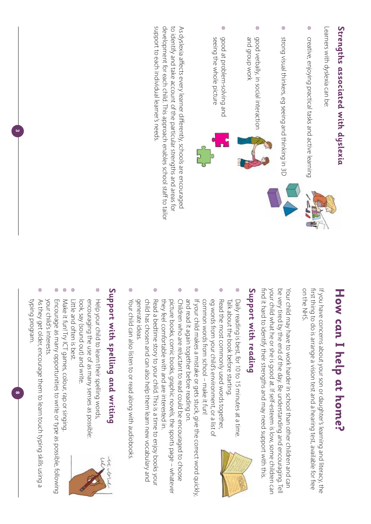# **Strengths associated with dyslexia** Strengths associated with dyslexia

Learners with dyslexia can be Learners with dyslexia can be:

- **≉** creative, enjoying practical tasks and active learning creative, enjoying practical tasks and active learning
- ❉ strong visual thinkers, eg seeing and thinking in 3D strong visual thinkers, eg seeing and thinking in 3D
- ❉ good verbally, in social interaction and group work and group work good verbally, in social interaction
- ❉ good at problem-solving and seeing the whole picture seeing the whole picture good at problem-solving and



support to each individual learner's needs. development for each child. This approach enables school staff to tailor support to each individual learner's needs. development for each child. This approach enables school staff to tailor to identify and take account of the particular strengths and areas for to identify and take account of the particular strengths and areas for As dyslexia affects every learner differently, schools are encouraged As dyslexia affects every learner differently, schools are encouraged

# How can I help at home? **How can I help at home?**

on the NHS. first thing to do is arrange a vision test and a hearing test, available for free If you have concerns about your son or daughter's learning and literacy, the on the NHS. first thing to do is arrange a vision test and a hearing test, available for free If you have concerns about your son or daughter's learning and literacy, the

find it hard to identify their strengths and may need support with this. be very tired by the end of the day. Be understanding and encouraging. Tell your child what he or she is good at. If self-esteem is low, some children car find it hard to identify their strengths and may need support with this. your child what he or she is good at. If self-esteem is low, some children can Your child may have to work harder in school than other children and can Your child may have to work harder in school than other children and can be very tired by the end of the day. Be understanding and encouraging. Tell

## Support with reading **Support with reading**

- ❉ ❉ Daily reading is best, for 10 to 15 minutes at a time Talk about the book before starting. Talk about the book before starting. Daily reading is best, for 10 to 15 minutes at a time.
- common words from school make it fun! eg words from your child's environment, or a list of Read the most commonly used words together, common words from school – make it fun! eg words from your child's environment, or a list of Read the most commonly used words together,
- ❉ and read it again together before reading on If your child makes a mistake or gets stuck, give the correct word quickly, and read it again together before reading on. If your child makes a mistake or gets stuck, give the correct word quickly,
- ❉ Children who are reluctant to read could be encouraged to choose they feel comfortable with and are interested in picture books, comic books, graphic novels, the sports page – whatever they feel comfortable with and are interested in. picture books, comic books, graphic novels, the sports page – whatever Children who are reluctant to read could be encouraged to choose
- ❉ generate ideas child has chosen and can also help them learn new vocabulary and Read a bedtime story to your child. This is a time to enjoy books your generate ideas. child has chosen and can also help them learn new vocabulary and Read a bedtime story to your child. This is a time to enjoy books your
- ❉ Your child can also listen to or read along with audiobooks Your child can also listen to or read along with audiobooks.

# Support with spelling and writing **Support with spelling and writing**

- ❉ look, say (sound out) and write. encouraging the use of as many senses as possible Help your child to learn their spelling words look, say (sound out) and write. encouraging the use of as many senses as possible: Help your child to learn their spelling words,
- ❉ Little and often is best. Little and often is best.

❉

- Make it fun! Try ICT games, colour, rap or singing Make it fun! Try ICT games, colour, rap or singing.
- ❉ Encourage as many opportunities to write or type as possible, following your child's interests your child's interests. Encourage as many opportunities to write or type as possible, following
- ❉ typing program. As they get older, encourage them to learn touch typing skills using a typing program. As they get older, encourage them to learn touch typing skills using a

**8**

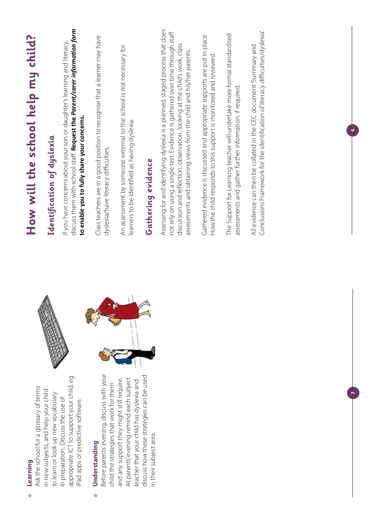| Ask the school for a glossary of terms<br>Learning                                                                               | How will the school help my child?                                                                                                                                                                                                                                                                                  |
|----------------------------------------------------------------------------------------------------------------------------------|---------------------------------------------------------------------------------------------------------------------------------------------------------------------------------------------------------------------------------------------------------------------------------------------------------------------|
| in new subjects, and help your child<br>to learn or look up new vocabulary                                                       | Identification of dyslexia                                                                                                                                                                                                                                                                                          |
| appropriate ICT to support your child, eg<br>in preparation. Discuss the use of<br>iPad apps or predictive software.             | discuss them with school staff. Request the Parent/carer information form<br>If you have concerns about your son or daughter's learning and literacy,<br>to enable you to fully share your concerns.                                                                                                                |
| Before parents' evening, discuss with your<br>child the strategies that work for them<br>Understanding                           | Class teachers are in a good position to recognise that a learner may have<br>dyslexia/have literacy difficulties.                                                                                                                                                                                                  |
| At parents' evening remind each subject<br>and any support they might still require.<br>teacher that your child has dyslexia and | An assessment by someone external to the school is not necessary for<br>learners to be identified as having dyslexia.                                                                                                                                                                                               |
| discuss how these strategies can be used<br>in their subject area.                                                               | Gathering evidence                                                                                                                                                                                                                                                                                                  |
|                                                                                                                                  | Assessing for and identifying dyslexia is a planned, staged process that does<br>not rely on using a single test. Evidence is gathered over time through staff<br>discussion and reflection, observation, looking at the child's work, class<br>assessments and obtaining views from the child and his/her parents. |
|                                                                                                                                  | Gathered evidence is discussed and appropriate supports are put in place.<br>How the child responds to this support is monitored and reviewed                                                                                                                                                                       |
|                                                                                                                                  | The Support for Learning teacher will undertake more formal standardised<br>assessments and gather further information, if required                                                                                                                                                                                 |
|                                                                                                                                  | Conclusions Framework for the identification of literacy difficulties/dyslexia.<br>All evidence can then be collated in the CEC document 'Summary and                                                                                                                                                               |
|                                                                                                                                  |                                                                                                                                                                                                                                                                                                                     |
|                                                                                                                                  |                                                                                                                                                                                                                                                                                                                     |
|                                                                                                                                  |                                                                                                                                                                                                                                                                                                                     |

❉

❉

**4**